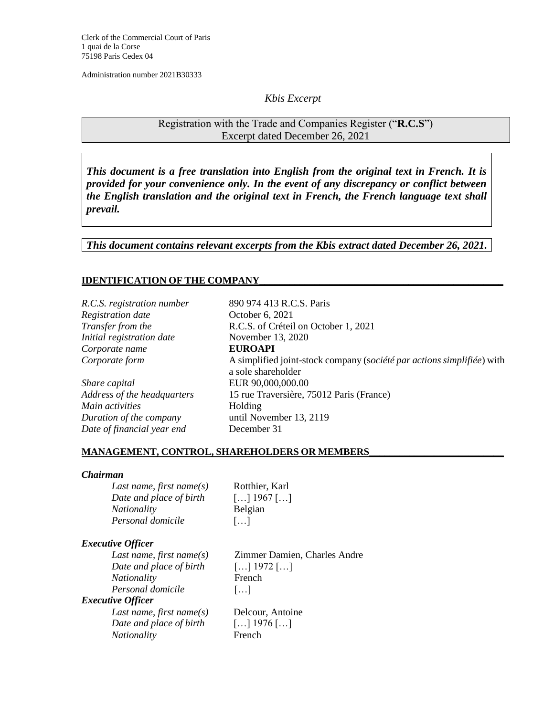Clerk of the Commercial Court of Paris 1 quai de la Corse 75198 Paris Cedex 04

Administration number 2021B30333

## *Kbis Excerpt*

Registration with the Trade and Companies Register ("**R.C.S**") Excerpt dated December 26, 2021

*This document is a free translation into English from the original text in French. It is provided for your convenience only. In the event of any discrepancy or conflict between the English translation and the original text in French, the French language text shall prevail.* 

*This document contains relevant excerpts from the Kbis extract dated December 26, 2021.*

## **IDENTIFICATION OF THE COMPANY\_\_\_\_\_\_\_\_\_\_\_\_\_\_\_\_\_\_\_\_\_\_\_\_\_\_\_\_\_\_\_\_\_\_\_\_\_\_\_\_\_\_\_\_\_\_\_\_\_**

*R.C.S. registration number* 890 974 413 R.C.S. Paris *Registration date* October 6, 2021 *Initial registration date* November 13, 2020 *Corporate name* **EUROAPI**

*Share capital* EUR 90,000,000.00 *Main activities* Holding *Duration of the company* until November 13, 2119 *Date of financial year end* December 31

*Transfer from the* R.C.S. of Créteil on October 1, 2021 *Corporate form* A simplified joint-stock company (s*ociété par actions simplifiée*) with a sole shareholder *Address of the headquarters* 15 rue Traversière, 75012 Paris (France)

### **MANAGEMENT, CONTROL, SHAREHOLDERS OR MEMBERS\_\_\_\_\_\_\_\_\_\_\_\_\_\_\_\_\_\_\_\_\_\_\_\_\_\_\_**

#### *Chairman*

| Last name, first name(s) | Rotthier, Karl                                       |
|--------------------------|------------------------------------------------------|
| Date and place of birth  | $\left[ \ldots \right]$ 1967 $\left[ \ldots \right]$ |
| <i>Nationality</i>       | Belgian                                              |
| Personal domicile        | $\left  \ldots \right $                              |

#### *Executive Officer*

*Last name, first name(s)* Zimmer Damien, Charles Andre *Date and place of birth* […] 1972 […] *Nationality* French *Personal domicile* […] *Executive Officer Last name, first name(s)* Delcour, Antoine *Date and place of birth* […] 1976 […] *Nationality* French